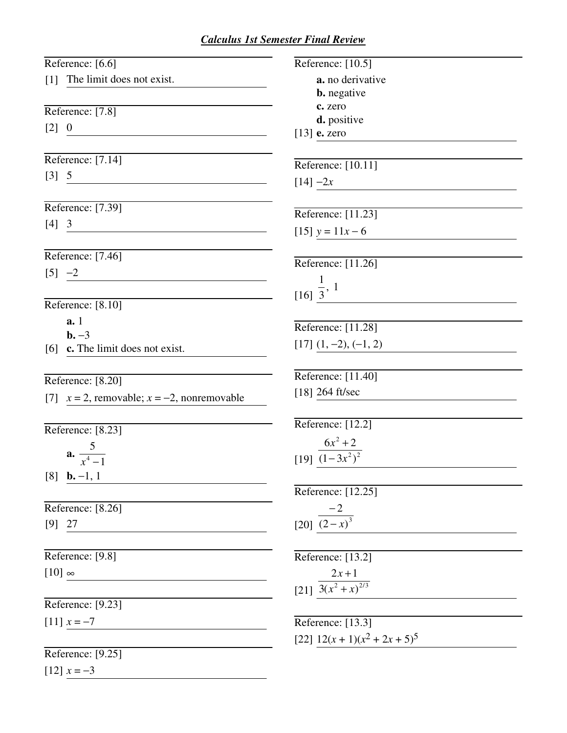## *Calculus 1st Semester Final Review*

| Reference: [6.6]                                              | Reference: $[10.5]$                 |
|---------------------------------------------------------------|-------------------------------------|
| [1] The limit does not exist.                                 | a. no derivative                    |
|                                                               | <b>b.</b> negative                  |
| Reference: [7.8]                                              | c. zero                             |
| $[2] \quad 0$                                                 | d. positive                         |
| <u> 1989 - Johann Barbara, martxa alemaniar amerikan a</u>    | $[13]$ e. zero                      |
| Reference: [7.14]                                             | Reference: [10.11]                  |
| $[3] \quad 5$                                                 | $[14] - 2x$                         |
|                                                               |                                     |
| Reference: [7.39]                                             | Reference: [11.23]                  |
| $[4] 3$<br><u> 1980 - John Stein, Amerikaansk politiker (</u> | [15] $y = 11x - 6$                  |
|                                                               |                                     |
| Reference: [7.46]                                             | Reference: [11.26]                  |
| $[5] -2$<br><u> 1980 - Jan Barnett, fransk politiker (</u>    |                                     |
|                                                               | $\frac{1}{3}$ , 1                   |
| Reference: [8.10]                                             |                                     |
| a.1                                                           | Reference: [11.28]                  |
| $b. -3$                                                       | $[17]$ $(1, -2), (-1, 2)$           |
| [6] c. The limit does not exist.                              |                                     |
| Reference: [8.20]                                             | Reference: [11.40]                  |
| [7] $x = 2$ , removable; $x = -2$ , nonremovable              | $[18]$ 264 ft/sec                   |
|                                                               |                                     |
| Reference: [8.23]                                             | Reference: $[12.2]$                 |
|                                                               | $6x^2 + 2$                          |
| a. $\frac{5}{x^4-1}$                                          | [19] $\overline{(1-3x^2)^2}$        |
| $[8]$ <b>b.</b> -1, 1                                         |                                     |
|                                                               | Reference: [12.25]                  |
| Reference: [8.26]                                             | $-2$                                |
| $[9]$ 27                                                      | [20] $(2-x)^3$                      |
| Reference: [9.8]                                              | Reference: [13.2]                   |
| $[10]$ $\infty$                                               | $2x + 1$                            |
|                                                               | [21] $\frac{3(x^2+x)^{2/3}}{x^2+x}$ |
| Reference: [9.23]                                             |                                     |
| $[11]$ $x = -7$                                               | Reference: $[13.3]$                 |
|                                                               | [22] $12(x + 1)(x2 + 2x + 5)5$      |
| Reference: [9.25]                                             |                                     |
| $[12]$ $x = -3$                                               |                                     |
|                                                               |                                     |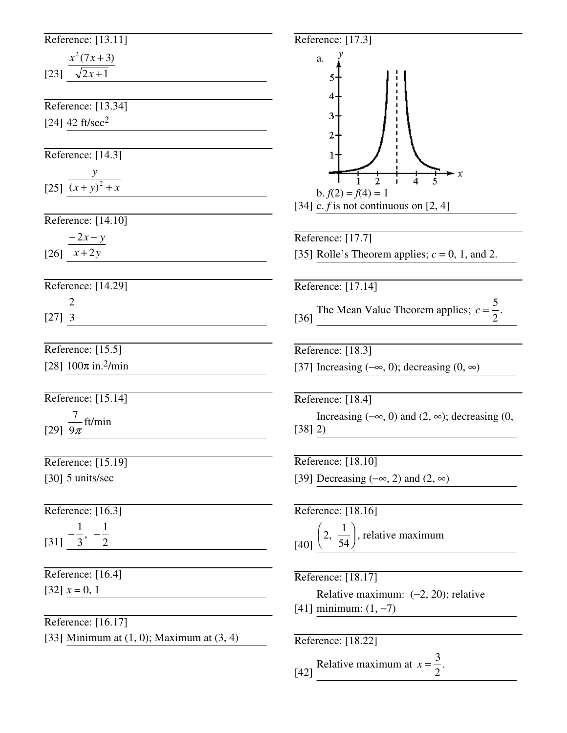| Reference: [13.11]                                          | Reference: [17                          |
|-------------------------------------------------------------|-----------------------------------------|
|                                                             | a.                                      |
| $\frac{x^2(7x+3)}{\sqrt{2x+1}}$                             | 5                                       |
|                                                             | 4                                       |
| Reference: [13.34]                                          |                                         |
| [24] 42 ft/sec <sup>2</sup>                                 | 3                                       |
|                                                             | 2                                       |
| Reference: [14.3]                                           | 1                                       |
|                                                             |                                         |
| [25] $\frac{y}{(x+y)^2 + x}$                                | b. $f(2) = f($                          |
|                                                             | [34] c. $f$ is not                      |
| Reference: [14.10]                                          |                                         |
| $\frac{-2x-y}{x+2y}$                                        | Reference: [17                          |
|                                                             | [35] Rolle's Tl                         |
| Reference: [14.29]                                          | Reference: [17                          |
|                                                             |                                         |
| $[27] \frac{2}{3}$                                          | The Mean<br>$[36]$                      |
|                                                             |                                         |
| Reference: [15.5]                                           | Reference: [18                          |
| [28] $100\pi$ in. <sup>2</sup> /min                         | [37] Increasing                         |
|                                                             |                                         |
| Reference: [15.14]                                          | Reference: [18]                         |
| $\frac{7}{1}$ ft/min                                        | Increasing                              |
| [29] $9\pi$                                                 | [38] 2)                                 |
|                                                             |                                         |
| Reference: [15.19]                                          | Reference: [18                          |
| [30] $5 \text{ units/sec}$                                  | [39] Decreasin                          |
| Reference: [16.3]                                           | Reference: [18                          |
|                                                             |                                         |
| $\frac{1}{\left[31\right]}$ $-\frac{1}{3}$ , $-\frac{1}{2}$ | $[40]$ $\left(2, \frac{1}{54}\right)$ , |
| Reference: [16.4]                                           | Reference: [18                          |
| $[32]$ $x = 0, 1$                                           | Relative r                              |
|                                                             | $[41]$ minimum                          |
| Reference: [16.17]                                          |                                         |
| [33] Minimum at $(1, 0)$ ; Maximum at $(3, 4)$              | Reference: [18                          |
|                                                             |                                         |



[42] Relative maximum at  $x = \frac{3}{2}$ 2

.